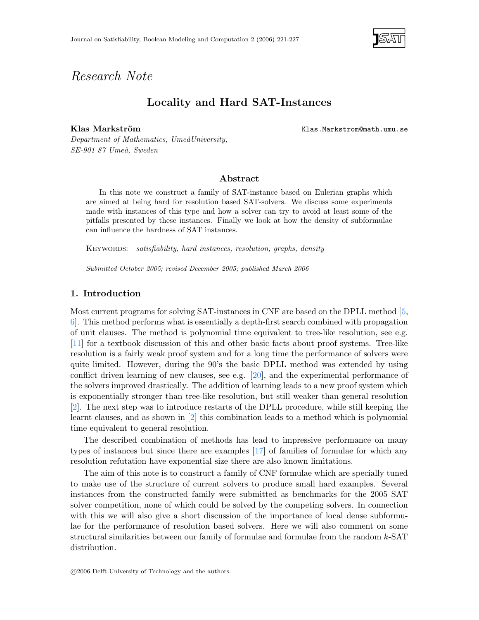

# Research Note

# Locality and Hard SAT-Instances

Klas Markström Kassassa Karkstrom Klas.Markstrom@math.umu.se Department of Mathematics, UmeåUniversity, SE-901 87 Umeå, Sweden

### Abstract

In this note we construct a family of SAT-instance based on Eulerian graphs which are aimed at being hard for resolution based SAT-solvers. We discuss some experiments made with instances of this type and how a solver can try to avoid at least some of the pitfalls presented by these instances. Finally we look at how the density of subformulae can influence the hardness of SAT instances.

KEYWORDS: satisfiability, hard instances, resolution, graphs, density

Submitted October 2005; revised December 2005; published March 2006

#### 1. Introduction

Most current programs for solving SAT-instances in CNF are based on the DPLL method [\[5,](#page-5-0) [6\]](#page-5-1). This method performs what is essentially a depth-first search combined with propagation of unit clauses. The method is polynomial time equivalent to tree-like resolution, see e.g. [\[11\]](#page-6-0) for a textbook discussion of this and other basic facts about proof systems. Tree-like resolution is a fairly weak proof system and for a long time the performance of solvers were quite limited. However, during the 90's the basic DPLL method was extended by using conflict driven learning of new clauses, see e.g. [\[20\]](#page-6-1), and the experimental performance of the solvers improved drastically. The addition of learning leads to a new proof system which is exponentially stronger than tree-like resolution, but still weaker than general resolution [\[2\]](#page-5-2). The next step was to introduce restarts of the DPLL procedure, while still keeping the learnt clauses, and as shown in [\[2\]](#page-5-2) this combination leads to a method which is polynomial time equivalent to general resolution.

The described combination of methods has lead to impressive performance on many types of instances but since there are examples [\[17\]](#page-6-2) of families of formulae for which any resolution refutation have exponential size there are also known limitations.

The aim of this note is to construct a family of CNF formulae which are specially tuned to make use of the structure of current solvers to produce small hard examples. Several instances from the constructed family were submitted as benchmarks for the 2005 SAT solver competition, none of which could be solved by the competing solvers. In connection with this we will also give a short discussion of the importance of local dense subformulae for the performance of resolution based solvers. Here we will also comment on some structural similarities between our family of formulae and formulae from the random k-SAT distribution.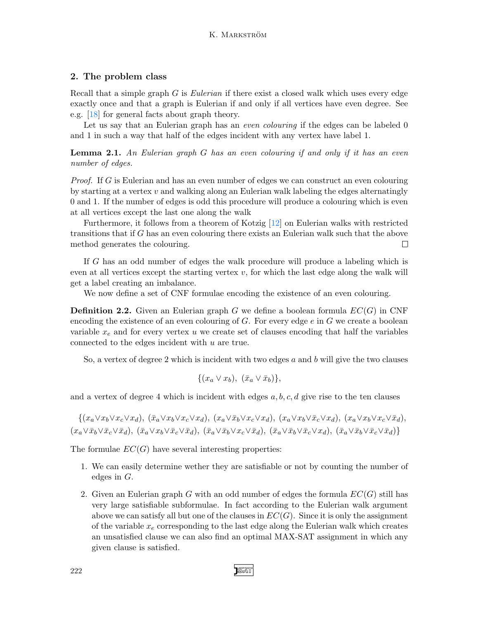# 2. The problem class

Recall that a simple graph  $G$  is *Eulerian* if there exist a closed walk which uses every edge exactly once and that a graph is Eulerian if and only if all vertices have even degree. See e.g. [\[18\]](#page-6-3) for general facts about graph theory.

Let us say that an Eulerian graph has an *even colouring* if the edges can be labeled 0 and 1 in such a way that half of the edges incident with any vertex have label 1.

**Lemma 2.1.** An Eulerian graph G has an even colouring if and only if it has an even number of edges.

Proof. If G is Eulerian and has an even number of edges we can construct an even colouring by starting at a vertex  $v$  and walking along an Eulerian walk labeling the edges alternatingly 0 and 1. If the number of edges is odd this procedure will produce a colouring which is even at all vertices except the last one along the walk

Furthermore, it follows from a theorem of Kotzig [\[12\]](#page-6-4) on Eulerian walks with restricted transitions that if G has an even colouring there exists an Eulerian walk such that the above method generates the colouring.  $\Box$ 

If G has an odd number of edges the walk procedure will produce a labeling which is even at all vertices except the starting vertex  $v$ , for which the last edge along the walk will get a label creating an imbalance.

We now define a set of CNF formulae encoding the existence of an even colouring.

**Definition 2.2.** Given an Eulerian graph G we define a boolean formula  $EC(G)$  in CNF encoding the existence of an even colouring of  $G$ . For every edge  $e$  in  $G$  we create a boolean variable  $x_e$  and for every vertex u we create set of clauses encoding that half the variables connected to the edges incident with u are true.

So, a vertex of degree 2 which is incident with two edges  $a$  and  $b$  will give the two clauses

$$
\{(x_a \vee x_b), \ (\bar{x}_a \vee \bar{x}_b)\},\
$$

and a vertex of degree 4 which is incident with edges  $a, b, c, d$  give rise to the ten clauses

$$
\begin{aligned}\n\left\{ \left( x_a \vee x_b \vee x_c \vee x_d \right), \; \left( \bar{x}_a \vee x_b \vee x_c \vee x_d \right), \; \left( x_a \vee \bar{x}_b \vee x_c \vee x_d \right), \; \left( x_a \vee x_b \vee \bar{x}_c \vee x_d \right), \; \left( x_a \vee x_b \vee x_c \vee \bar{x}_d \right), \\
\left( x_a \vee \bar{x}_b \vee \bar{x}_c \vee \bar{x}_d \right), \; \left( \bar{x}_a \vee x_b \vee \bar{x}_c \vee \bar{x}_d \right), \; \left( \bar{x}_a \vee \bar{x}_b \vee x_c \vee \bar{x}_d \right), \; \left( \bar{x}_a \vee \bar{x}_b \vee \bar{x}_c \vee x_d \right), \; \left( \bar{x}_a \vee \bar{x}_b \vee \bar{x}_c \vee \bar{x}_d \right)\n\end{aligned}\n\right\}
$$

The formulae  $EC(G)$  have several interesting properties:

- 1. We can easily determine wether they are satisfiable or not by counting the number of edges in G.
- 2. Given an Eulerian graph G with an odd number of edges the formula  $EC(G)$  still has very large satisfiable subformulae. In fact according to the Eulerian walk argument above we can satisfy all but one of the clauses in  $EC(G)$ . Since it is only the assignment of the variable  $x_e$  corresponding to the last edge along the Eulerian walk which creates an unsatisfied clause we can also find an optimal MAX-SAT assignment in which any given clause is satisfied.

# ]SAT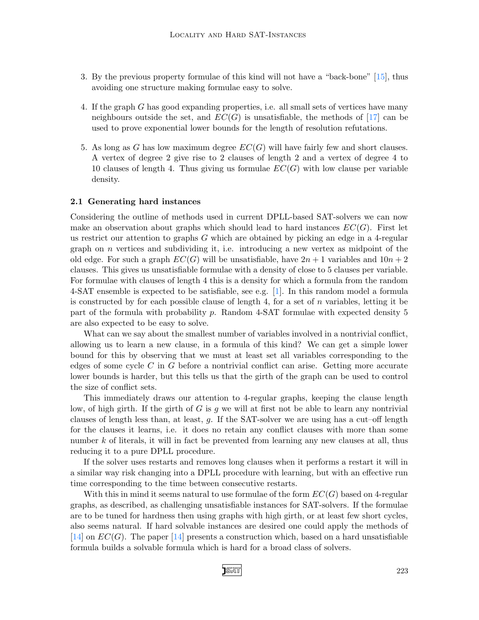- 3. By the previous property formulae of this kind will not have a "back-bone" [\[15\]](#page-6-5), thus avoiding one structure making formulae easy to solve.
- 4. If the graph G has good expanding properties, i.e. all small sets of vertices have many neighbours outside the set, and  $EC(G)$  is unsatisfiable, the methods of [\[17\]](#page-6-2) can be used to prove exponential lower bounds for the length of resolution refutations.
- 5. As long as G has low maximum degree  $EC(G)$  will have fairly few and short clauses. A vertex of degree 2 give rise to 2 clauses of length 2 and a vertex of degree 4 to 10 clauses of length 4. Thus giving us formulae  $EC(G)$  with low clause per variable density.

#### <span id="page-2-0"></span>2.1 Generating hard instances

Considering the outline of methods used in current DPLL-based SAT-solvers we can now make an observation about graphs which should lead to hard instances  $EC(G)$ . First let us restrict our attention to graphs  $G$  which are obtained by picking an edge in a 4-regular graph on  $n$  vertices and subdividing it, i.e. introducing a new vertex as midpoint of the old edge. For such a graph  $EC(G)$  will be unsatisfiable, have  $2n+1$  variables and  $10n+2$ clauses. This gives us unsatisfiable formulae with a density of close to 5 clauses per variable. For formulae with clauses of length 4 this is a density for which a formula from the random 4-SAT ensemble is expected to be satisfiable, see e.g. [\[1\]](#page-5-3). In this random model a formula is constructed by for each possible clause of length 4, for a set of n variables, letting it be part of the formula with probability p. Random 4-SAT formulae with expected density 5 are also expected to be easy to solve.

What can we say about the smallest number of variables involved in a nontrivial conflict, allowing us to learn a new clause, in a formula of this kind? We can get a simple lower bound for this by observing that we must at least set all variables corresponding to the edges of some cycle  $C$  in  $G$  before a nontrivial conflict can arise. Getting more accurate lower bounds is harder, but this tells us that the girth of the graph can be used to control the size of conflict sets.

This immediately draws our attention to 4-regular graphs, keeping the clause length low, of high girth. If the girth of G is g we will at first not be able to learn any nontrivial clauses of length less than, at least, g. If the SAT-solver we are using has a cut–off length for the clauses it learns, i.e. it does no retain any conflict clauses with more than some number k of literals, it will in fact be prevented from learning any new clauses at all, thus reducing it to a pure DPLL procedure.

If the solver uses restarts and removes long clauses when it performs a restart it will in a similar way risk changing into a DPLL procedure with learning, but with an effective run time corresponding to the time between consecutive restarts.

With this in mind it seems natural to use formulae of the form  $EC(G)$  based on 4-regular graphs, as described, as challenging unsatisfiable instances for SAT-solvers. If the formulae are to be tuned for hardness then using graphs with high girth, or at least few short cycles, also seems natural. If hard solvable instances are desired one could apply the methods of [\[14\]](#page-6-6) on  $EC(G)$ . The paper [14] presents a construction which, based on a hard unsatisfiable formula builds a solvable formula which is hard for a broad class of solvers.

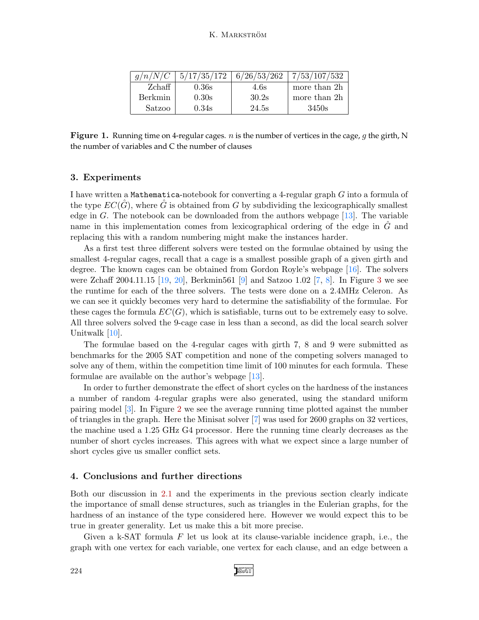| q/n/N/C | 5/17/35/172 | 6/26/53/262 | 7/53/107/532 |
|---------|-------------|-------------|--------------|
| Zchaff  | 0.36s       | 4.6s        | more than 2h |
| Berkmin | 0.30s       | 30.2s       | more than 2h |
| Satzoo  | 0.34s       | 24.5s       | 3450s        |

**Figure 1.** Running time on 4-regular cages. *n* is the number of vertices in the cage, *q* the girth, N the number of variables and C the number of clauses

#### <span id="page-3-0"></span>3. Experiments

I have written a Mathematica-notebook for converting a 4-regular graph  $G$  into a formula of the type  $EC(\hat{G})$ , where  $\hat{G}$  is obtained from G by subdividing the lexicographically smallest edge in  $G$ . The notebook can be downloaded from the authors webpage  $[13]$ . The variable name in this implementation comes from lexicographical ordering of the edge in  $G$  and replacing this with a random numbering might make the instances harder.

As a first test three different solvers were tested on the formulae obtained by using the smallest 4-regular cages, recall that a cage is a smallest possible graph of a given girth and degree. The known cages can be obtained from Gordon Royle's webpage [\[16\]](#page-6-8). The solvers were Zchaff 2004.11.15 [\[19,](#page-6-9) [20\]](#page-6-1), Berkmin561 [\[9\]](#page-5-4) and Satzoo 1.02 [\[7,](#page-5-5) [8\]](#page-5-6). In Figure [3](#page-3-0) we see the runtime for each of the three solvers. The tests were done on a 2.4MHz Celeron. As we can see it quickly becomes very hard to determine the satisfiability of the formulae. For these cages the formula  $EC(G)$ , which is satisfiable, turns out to be extremely easy to solve. All three solvers solved the 9-cage case in less than a second, as did the local search solver Unitwalk [\[10\]](#page-6-10).

The formulae based on the 4-regular cages with girth 7, 8 and 9 were submitted as benchmarks for the 2005 SAT competition and none of the competing solvers managed to solve any of them, within the competition time limit of 100 minutes for each formula. These formulae are available on the author's webpage [\[13\]](#page-6-7).

In order to further demonstrate the effect of short cycles on the hardness of the instances a number of random 4-regular graphs were also generated, using the standard uniform pairing model [\[3\]](#page-5-7). In Figure [2](#page-4-0) we see the average running time plotted against the number of triangles in the graph. Here the Minisat solver [\[7\]](#page-5-5) was used for 2600 graphs on 32 vertices, the machine used a 1.25 GHz G4 processor. Here the running time clearly decreases as the number of short cycles increases. This agrees with what we expect since a large number of short cycles give us smaller conflict sets.

#### 4. Conclusions and further directions

Both our discussion in [2.1](#page-2-0) and the experiments in the previous section clearly indicate the importance of small dense structures, such as triangles in the Eulerian graphs, for the hardness of an instance of the type considered here. However we would expect this to be true in greater generality. Let us make this a bit more precise.

Given a k-SAT formula  $F$  let us look at its clause-variable incidence graph, i.e., the graph with one vertex for each variable, one vertex for each clause, and an edge between a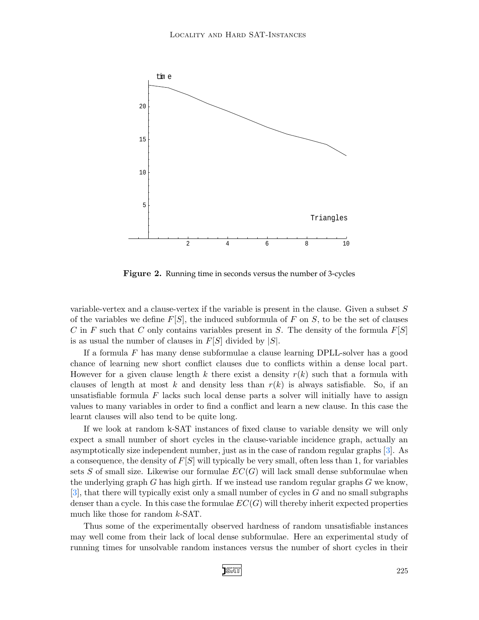

<span id="page-4-0"></span>Figure 2. Running time in seconds versus the number of 3-cycles

variable-vertex and a clause-vertex if the variable is present in the clause. Given a subset  $S$ of the variables we define  $F[S]$ , the induced subformula of F on S, to be the set of clauses C in F such that C only contains variables present in S. The density of the formula  $F[S]$ is as usual the number of clauses in  $F[S]$  divided by  $|S|$ .

If a formula F has many dense subformulae a clause learning DPLL-solver has a good chance of learning new short conflict clauses due to conflicts within a dense local part. However for a given clause length k there exist a density  $r(k)$  such that a formula with clauses of length at most k and density less than  $r(k)$  is always satisfiable. So, if an unsatisfiable formula  $F$  lacks such local dense parts a solver will initially have to assign values to many variables in order to find a conflict and learn a new clause. In this case the learnt clauses will also tend to be quite long.

If we look at random k-SAT instances of fixed clause to variable density we will only expect a small number of short cycles in the clause-variable incidence graph, actually an asymptotically size independent number, just as in the case of random regular graphs [\[3\]](#page-5-7). As a consequence, the density of  $F[S]$  will typically be very small, often less than 1, for variables sets S of small size. Likewise our formulae  $EC(G)$  will lack small dense subformulae when the underlying graph  $G$  has high girth. If we instead use random regular graphs  $G$  we know,  $[3]$ , that there will typically exist only a small number of cycles in G and no small subgraphs denser than a cycle. In this case the formulae  $EC(G)$  will thereby inherit expected properties much like those for random k-SAT.

Thus some of the experimentally observed hardness of random unsatisfiable instances may well come from their lack of local dense subformulae. Here an experimental study of running times for unsolvable random instances versus the number of short cycles in their

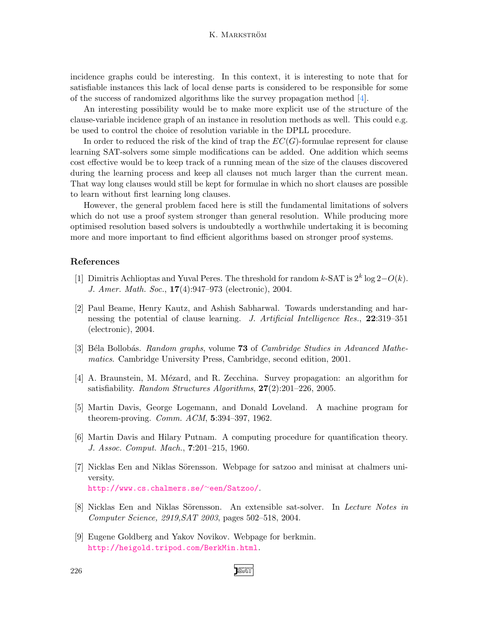#### K. MARKSTRÖM

incidence graphs could be interesting. In this context, it is interesting to note that for satisfiable instances this lack of local dense parts is considered to be responsible for some of the success of randomized algorithms like the survey propagation method [\[4\]](#page-5-8).

An interesting possibility would be to make more explicit use of the structure of the clause-variable incidence graph of an instance in resolution methods as well. This could e.g. be used to control the choice of resolution variable in the DPLL procedure.

In order to reduced the risk of the kind of trap the  $EC(G)$ -formulae represent for clause learning SAT-solvers some simple modifications can be added. One addition which seems cost effective would be to keep track of a running mean of the size of the clauses discovered during the learning process and keep all clauses not much larger than the current mean. That way long clauses would still be kept for formulae in which no short clauses are possible to learn without first learning long clauses.

However, the general problem faced here is still the fundamental limitations of solvers which do not use a proof system stronger than general resolution. While producing more optimised resolution based solvers is undoubtedly a worthwhile undertaking it is becoming more and more important to find efficient algorithms based on stronger proof systems.

#### <span id="page-5-3"></span>References

- [1] Dimitris Achlioptas and Yuval Peres. The threshold for random k-SAT is  $2^k \log 2 O(k)$ . J. Amer. Math. Soc., 17(4):947–973 (electronic), 2004.
- <span id="page-5-2"></span>[2] Paul Beame, Henry Kautz, and Ashish Sabharwal. Towards understanding and harnessing the potential of clause learning. J. Artificial Intelligence Res., 22:319–351 (electronic), 2004.
- <span id="page-5-8"></span><span id="page-5-7"></span>[3] Béla Bollobás. Random graphs, volume 73 of Cambridge Studies in Advanced Mathematics. Cambridge University Press, Cambridge, second edition, 2001.
- [4] A. Braunstein, M. Mézard, and R. Zecchina. Survey propagation: an algorithm for satisfiability. Random Structures Algorithms, 27(2):201–226, 2005.
- <span id="page-5-1"></span><span id="page-5-0"></span>[5] Martin Davis, George Logemann, and Donald Loveland. A machine program for theorem-proving. Comm. ACM, 5:394–397, 1962.
- [6] Martin Davis and Hilary Putnam. A computing procedure for quantification theory. J. Assoc. Comput. Mach., 7:201–215, 1960.
- <span id="page-5-5"></span>[7] Nicklas Een and Niklas Sörensson. Webpage for satzoo and minisat at chalmers university. [http://www.cs.chalmers.se/](http://www.cs.chalmers.se/~een/Satzoo/)∼een/Satzoo/.
- <span id="page-5-6"></span><span id="page-5-4"></span>[8] Nicklas Een and Niklas Sörensson. An extensible sat-solver. In Lecture Notes in Computer Science, 2919,SAT 2003, pages 502–518, 2004.
- [9] Eugene Goldberg and Yakov Novikov. Webpage for berkmin. <http://heigold.tripod.com/BerkMin.html>.

]SAT